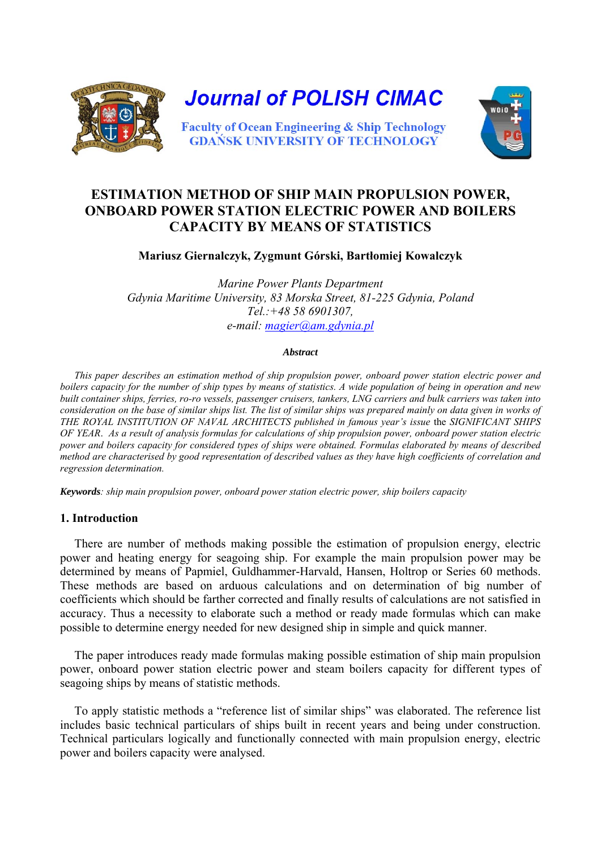

# **ESTIMATION METHOD OF SHIP MAIN PROPULSION POWER, ONBOARD POWER STATION ELECTRIC POWER AND BOILERS CAPACITY BY MEANS OF STATISTICS**

**Mariusz Giernalczyk, Zygmunt Górski, Bartłomiej Kowalczyk** 

*Marine Power Plants Department Gdynia Maritime University, 83 Morska Street, 81-225 Gdynia, Poland Tel.:+48 58 6901307, e-mail: [magier@am.gdynia.pl](mailto:magier@am.gdynia.pl)*

#### *Abstract*

*This paper describes an estimation method of ship propulsion power, onboard power station electric power and boilers capacity for the number of ship types by means of statistics. A wide population of being in operation and new built container ships, ferries, ro-ro vessels, passenger cruisers, tankers, LNG carriers and bulk carriers was taken into consideration on the base of similar ships list. The list of similar ships was prepared mainly on data given in works of THE ROYAL INSTITUTION OF NAVAL ARCHITECTS published in famous year's issue* the *SIGNIFICANT SHIPS OF YEAR*. *As a result of analysis formulas for calculations of ship propulsion power, onboard power station electric power and boilers capacity for considered types of ships were obtained. Formulas elaborated by means of described method are characterised by good representation of described values as they have high coefficients of correlation and regression determination.* 

*Keywords: ship main propulsion power, onboard power station electric power, ship boilers capacity* 

## **1. Introduction**

There are number of methods making possible the estimation of propulsion energy, electric power and heating energy for seagoing ship. For example the main propulsion power may be determined by means of Papmiel, Guldhammer-Harvald, Hansen, Holtrop or Series 60 methods. These methods are based on arduous calculations and on determination of big number of coefficients which should be farther corrected and finally results of calculations are not satisfied in accuracy. Thus a necessity to elaborate such a method or ready made formulas which can make possible to determine energy needed for new designed ship in simple and quick manner.

The paper introduces ready made formulas making possible estimation of ship main propulsion power, onboard power station electric power and steam boilers capacity for different types of seagoing ships by means of statistic methods.

To apply statistic methods a "reference list of similar ships" was elaborated. The reference list includes basic technical particulars of ships built in recent years and being under construction. Technical particulars logically and functionally connected with main propulsion energy, electric power and boilers capacity were analysed.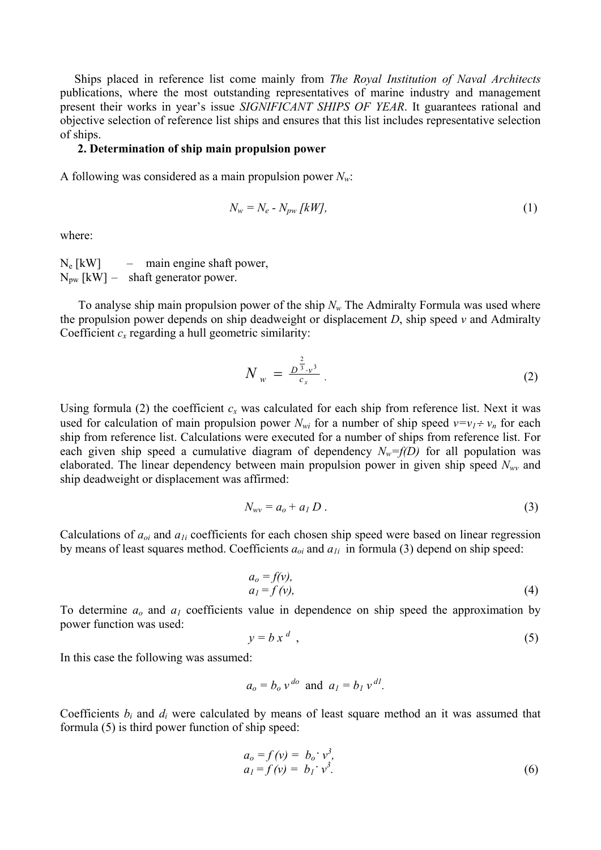Ships placed in reference list come mainly from *The Royal Institution of Naval Architects* publications, where the most outstanding representatives of marine industry and management present their works in year's issue *SIGNIFICANT SHIPS OF YEAR*. It guarantees rational and objective selection of reference list ships and ensures that this list includes representative selection of ships.

## **2. Determination of ship main propulsion power**

A following was considered as a main propulsion power *Nw*:

$$
N_w = N_e - N_{pw} \, [kW],\tag{1}
$$

where:

 $N_e$  [kW] – main engine shaft power,  $N_{\text{pw}}$  [kW] – shaft generator power.

To analyse ship main propulsion power of the ship  $N_w$  The Admiralty Formula was used where the propulsion power depends on ship deadweight or displacement *D*, ship speed *v* and Admiralty Coefficient  $c_x$  regarding a hull geometric similarity:

$$
N_w = \frac{D^{\frac{2}{3}} \cdot v^3}{c_x} \tag{2}
$$

Using formula (2) the coefficient  $c_x$  was calculated for each ship from reference list. Next it was used for calculation of main propulsion power  $N_{wi}$  for a number of ship speed  $v=v_1 \div v_n$  for each ship from reference list. Calculations were executed for a number of ships from reference list. For each given ship speed a cumulative diagram of dependency  $N_w=f(D)$  for all population was elaborated. The linear dependency between main propulsion power in given ship speed *Nwv* and ship deadweight or displacement was affirmed:

$$
N_{wv} = a_o + a_I D \tag{3}
$$

Calculations of *aoi* and *a1i* coefficients for each chosen ship speed were based on linear regression by means of least squares method. Coefficients *aoi* and *a1i* in formula (3) depend on ship speed:

$$
a_o = f(v),
$$
  
\n
$$
a_1 = f(v),
$$
\n(4)

To determine  $a_0$  and  $a_1$  coefficients value in dependence on ship speed the approximation by power function was used:

$$
y = b x^d \tag{5}
$$

In this case the following was assumed:

$$
a_o = b_o v^{do}
$$
 and  $a_l = b_l v^{dl}$ .

Coefficients *bi* and *di* were calculated by means of least square method an it was assumed that formula (5) is third power function of ship speed:

$$
a_o = f(v) = b_o \cdot v^3, a_1 = f(v) = b_1 \cdot v^3.
$$
 (6)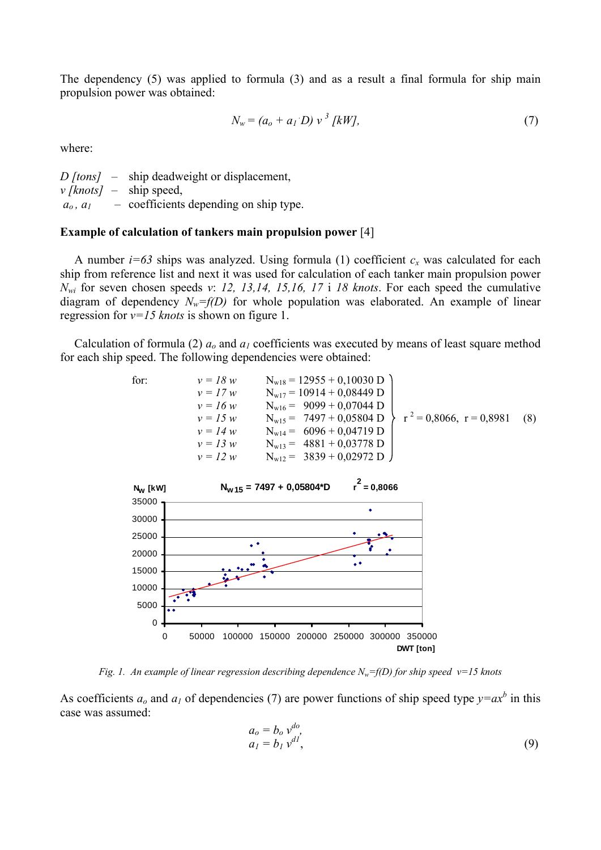The dependency (5) was applied to formula (3) and as a result a final formula for ship main propulsion power was obtained:

$$
N_w = (a_o + a_I D) v^3 [kW], \tag{7}
$$

where:

*D [tons]* – ship deadweight or displacement, *v [knots]* – ship speed,  $a_0$ ,  $a_1$  – coefficients depending on ship type.

### **Example of calculation of tankers main propulsion power** [4]

A number  $i=63$  ships was analyzed. Using formula (1) coefficient  $c_x$  was calculated for each ship from reference list and next it was used for calculation of each tanker main propulsion power *Nwi* for seven chosen speeds *v*: *12, 13,14, 15,16, 17* i *18 knots*. For each speed the cumulative diagram of dependency  $N_w=f(D)$  for whole population was elaborated. An example of linear regression for *v=15 knots* is shown on figure 1.

Calculation of formula (2)  $a_0$  and  $a_1$  coefficients was executed by means of least square method for each ship speed. The following dependencies were obtained:

for:  
\n
$$
v = 18 w
$$
  
\n $v = 17 w$   
\n $v = 16 w$   
\n $v = 16 w$   
\n $v = 16 w$   
\n $v = 16 w$   
\n $v = 16 w$   
\n $v = 16 w$   
\n $v = 16 w$   
\n $v = 16 w$   
\n $v = 16 w$   
\n $v = 14 w$   
\n $v = 14 w$   
\n $v = 14 w$   
\n $v = 14 w$   
\n $v = 12 w$   
\n $v = 12 w$   
\n $v = 12 w$   
\n $v = 12 w$   
\n $v = 12$   
\n $v = 12$   
\n $v = 12$   
\n $v = 12$   
\n $v = 12$   
\n $v = 12$   
\n $v = 12$   
\n $v = 12$   
\n $v = 12$   
\n $v = 12$   
\n $v = 12$   
\n $v = 12$   
\n $v = 12$   
\n $v = 12$   
\n $v = 12$   
\n $v = 12$   
\n $v = 12$   
\n $v = 12$   
\n $v = 12$   
\n $v = 12$   
\n $v = 12$   
\n $v = 12$   
\n $v = 12$   
\n $v = 12$   
\n $v = 12$   
\n $v = 12$   
\n $v = 12$   
\n $v = 12$   
\n $v = 12$   
\n $v = 12$   
\n $v = 12$   
\n $v = 12$   
\n $v = 12$   
\n $v = 12$   
\n $v = 12$   
\n $v = 12$   
\n $v = 12$   
\n $v = 12$   
\n



*Fig. 1. An example of linear regression describing dependence Nw=f(D) for ship speed v=15 knots* 

As coefficients  $a_0$  and  $a_1$  of dependencies (7) are power functions of ship speed type  $y = ax^b$  in this case was assumed:

$$
a_o = b_o v^{do},
$$
  
\n
$$
a_l = b_l v^{dl},
$$
\n(9)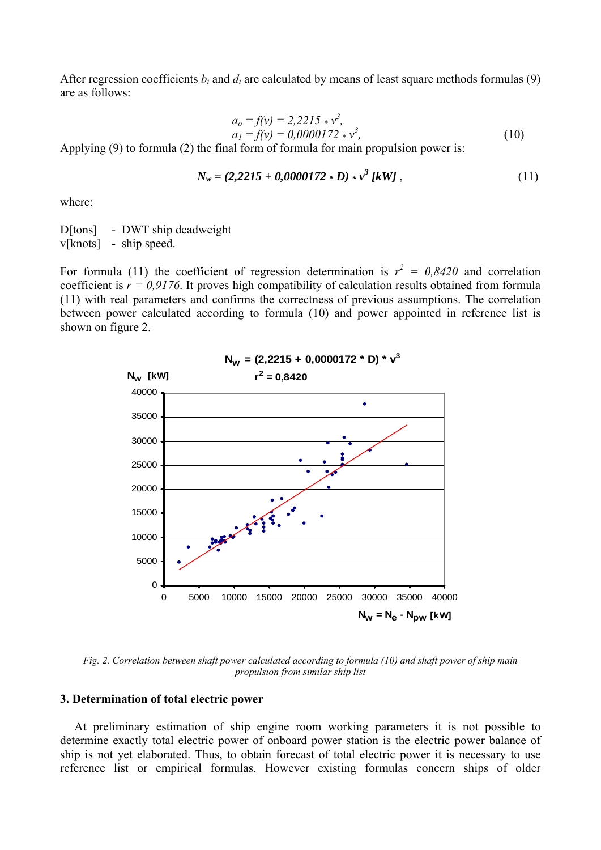After regression coefficients  $b_i$  and  $d_i$  are calculated by means of least square methods formulas (9) are as follows:

$$
a_o = f(v) = 2,2215 \times v^3,a_1 = f(v) = 0,0000172 \times v^3,
$$
\n(10)

Applying (9) to formula (2) the final form of formula for main propulsion power is:

$$
N_w = (2,2215 + 0,0000172 * D) * v^3 [kW], \qquad (11)
$$

where:

D[tons] - DWT ship deadweight v[knots] - ship speed.

For formula (11) the coefficient of regression determination is  $r^2 = 0.8420$  and correlation coefficient is  $r = 0.9176$ . It proves high compatibility of calculation results obtained from formula (11) with real parameters and confirms the correctness of previous assumptions. The correlation between power calculated according to formula (10) and power appointed in reference list is shown on figure 2.



*Fig. 2. Correlation between shaft power calculated according to formula (10) and shaft power of ship main propulsion from similar ship list* 

### **3. Determination of total electric power**

At preliminary estimation of ship engine room working parameters it is not possible to determine exactly total electric power of onboard power station is the electric power balance of ship is not yet elaborated. Thus, to obtain forecast of total electric power it is necessary to use reference list or empirical formulas. However existing formulas concern ships of older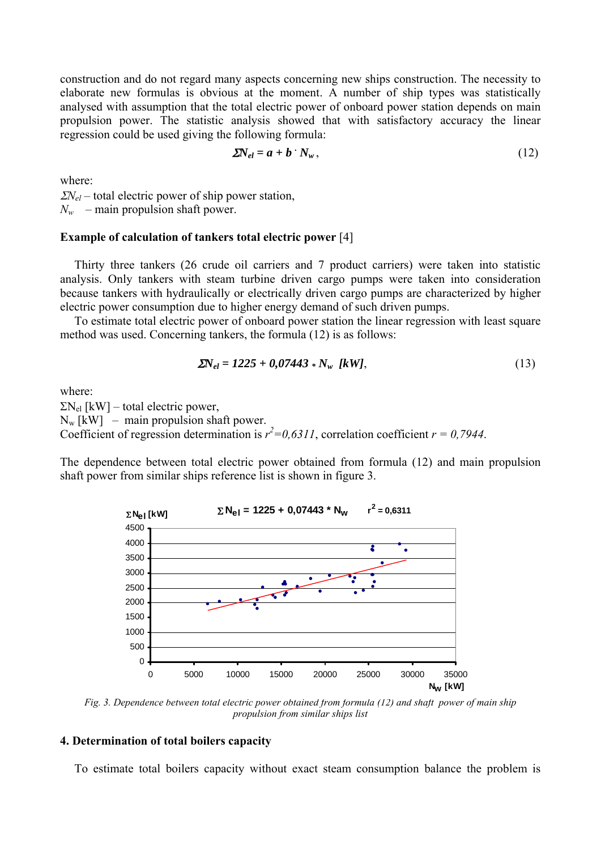construction and do not regard many aspects concerning new ships construction. The necessity to elaborate new formulas is obvious at the moment. A number of ship types was statistically analysed with assumption that the total electric power of onboard power station depends on main propulsion power. The statistic analysis showed that with satisfactory accuracy the linear regression could be used giving the following formula:

$$
\Sigma N_{el} = a + b \cdot N_w \,, \tag{12}
$$

where:

<sup>Σ</sup>*Nel –* total electric power of ship power station,  $N_w$  – main propulsion shaft power.

#### **Example of calculation of tankers total electric power** [4]

Thirty three tankers (26 crude oil carriers and 7 product carriers) were taken into statistic analysis. Only tankers with steam turbine driven cargo pumps were taken into consideration because tankers with hydraulically or electrically driven cargo pumps are characterized by higher electric power consumption due to higher energy demand of such driven pumps.

To estimate total electric power of onboard power station the linear regression with least square method was used. Concerning tankers, the formula (12) is as follows:

$$
\Sigma N_{el} = 1225 + 0.07443 * N_w \text{ [kW]},\tag{13}
$$

where:

 $\Sigma N_{el}$  [kW] – total electric power,  $N_w$  [kW] – main propulsion shaft power. Coefficient of regression determination is  $r^2 = 0.6311$ , correlation coefficient  $r = 0.7944$ .

The dependence between total electric power obtained from formula (12) and main propulsion shaft power from similar ships reference list is shown in figure 3.



*Fig. 3. Dependence between total electric power obtained from formula (12) and shaft power of main ship propulsion from similar ships list*

## **4. Determination of total boilers capacity**

To estimate total boilers capacity without exact steam consumption balance the problem is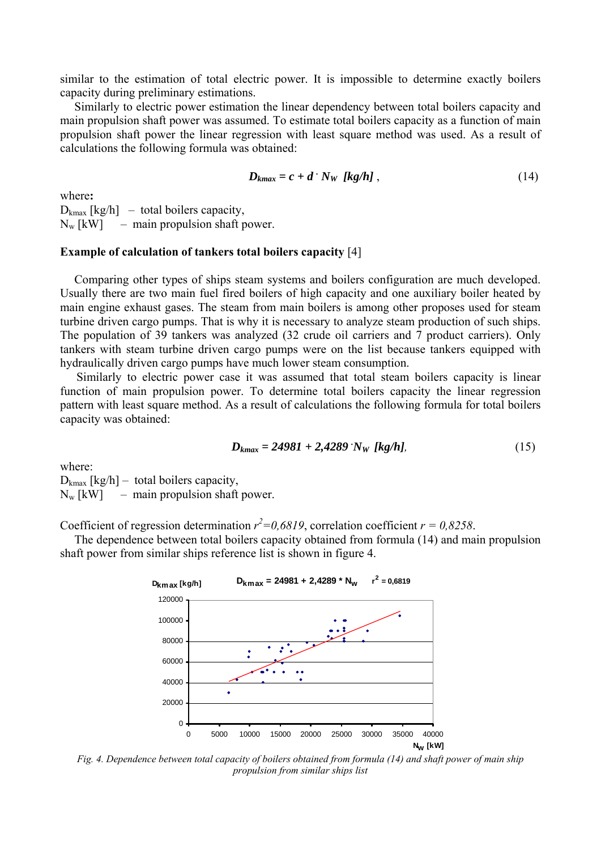similar to the estimation of total electric power. It is impossible to determine exactly boilers capacity during preliminary estimations.

Similarly to electric power estimation the linear dependency between total boilers capacity and main propulsion shaft power was assumed. To estimate total boilers capacity as a function of main propulsion shaft power the linear regression with least square method was used. As a result of calculations the following formula was obtained:

$$
D_{kmax} = c + d \cdot N_W \left[ kg/h \right], \qquad (14)
$$

where**:** 

 $D_{\text{kmax}}$  [kg/h] – total boilers capacity,  $N_w$  [kW] – main propulsion shaft power.

### **Example of calculation of tankers total boilers capacity** [4]

Comparing other types of ships steam systems and boilers configuration are much developed. Usually there are two main fuel fired boilers of high capacity and one auxiliary boiler heated by main engine exhaust gases. The steam from main boilers is among other proposes used for steam turbine driven cargo pumps. That is why it is necessary to analyze steam production of such ships. The population of 39 tankers was analyzed (32 crude oil carriers and 7 product carriers). Only tankers with steam turbine driven cargo pumps were on the list because tankers equipped with hydraulically driven cargo pumps have much lower steam consumption.

Similarly to electric power case it was assumed that total steam boilers capacity is linear function of main propulsion power. To determine total boilers capacity the linear regression pattern with least square method. As a result of calculations the following formula for total boilers capacity was obtained:

$$
D_{kmax} = 24981 + 2,4289 \text{ W}_W \text{ [kg/h]},\tag{15}
$$

where:

 $D_{kmax}$  [kg/h] – total boilers capacity,

 $N_w$  [kW] – main propulsion shaft power.

Coefficient of regression determination  $r^2 = 0.6819$ , correlation coefficient  $r = 0.8258$ .

The dependence between total boilers capacity obtained from formula (14) and main propulsion shaft power from similar ships reference list is shown in figure 4.



*Fig. 4. Dependence between total capacity of boilers obtained from formula (14) and shaft power of main ship propulsion from similar ships list*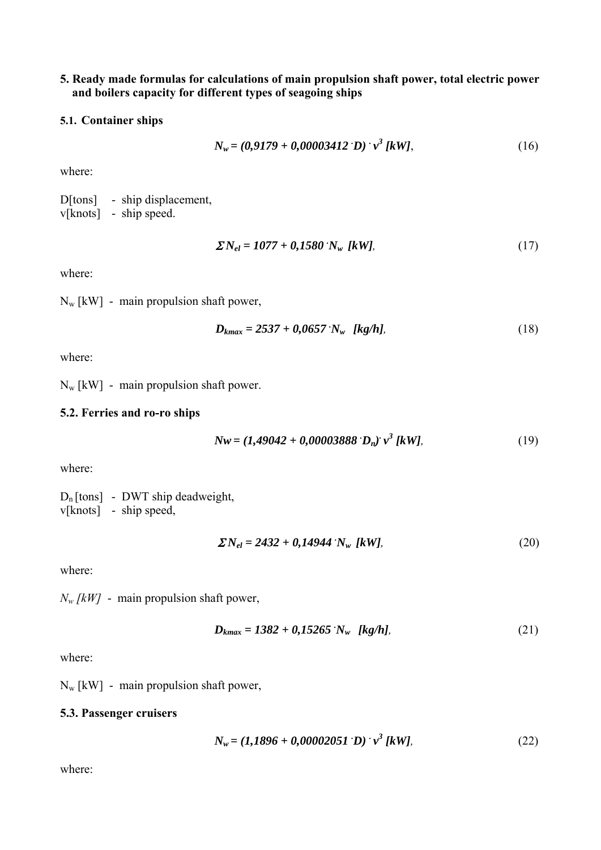## **5. Ready made formulas for calculations of main propulsion shaft power, total electric power and boilers capacity for different types of seagoing ships**

## **5.1. Container ships**

$$
N_w = (0.9179 + 0.00003412 \text{ D}) \cdot v^3 \text{ [kW]}, \tag{16}
$$

where:

D[tons] - ship displacement, v[knots] - ship speed.

$$
\Sigma N_{el} = 1077 + 0,1580 \, N_w \, [kW], \tag{17}
$$

where:

 $N_w$  [kW] - main propulsion shaft power,

$$
D_{kmax} = 2537 + 0.0657 \, N_w \, [kg/h], \tag{18}
$$

where:

 $N_w$  [kW] - main propulsion shaft power.

## **5.2. Ferries and ro-ro ships**

$$
Nw = (1,49042 + 0,00003888 \cdot D_n) v^3 [kW], \tag{19}
$$

where:

 $D_n$ [tons] - DWT ship deadweight, v[knots] - ship speed,

$$
\Sigma N_{el} = 2432 + 0,14944 \cdot N_w \, [kW], \tag{20}
$$

where:

*Nw [kW]* - main propulsion shaft power,

$$
D_{kmax} = 1382 + 0,15265 \text{ N}_w \text{ [kg/h]}, \tag{21}
$$

where:

 $N_w$  [kW] - main propulsion shaft power,

## **5.3. Passenger cruisers**

$$
N_w = (1,1896 + 0,00002051 \text{ D}) \cdot v^3 \text{ [kW]}, \tag{22}
$$

where: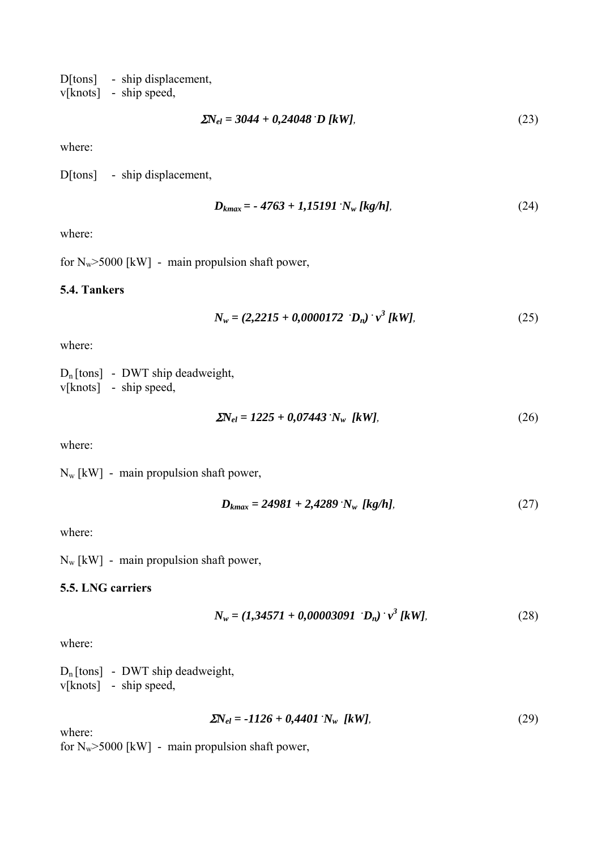D[tons] - ship displacement, v[knots] - ship speed,

$$
\Sigma N_{el} = 3044 + 0,24048 \text{ D } [kW], \tag{23}
$$

where:

D[tons] - ship displacement,

$$
D_{kmax} = -4763 + 1,15191 \cdot N_w \text{ [kg/h]},\tag{24}
$$

where:

for  $N_w$ >5000 [kW] - main propulsion shaft power,

## **5.4. Tankers**

$$
N_w = (2,2215 + 0,0000172)^{\top} D_n)^{\top} v^3 [kW], \tag{25}
$$

where:

 $D_n$ [tons] - DWT ship deadweight, v[knots] - ship speed,

$$
\Sigma N_{el} = 1225 + 0.07443 \, N_w \, [kW], \tag{26}
$$

where:

Nw [kW] - main propulsion shaft power,

$$
D_{kmax} = 24981 + 2{,}4289 \, N_w \, [kg/h], \tag{27}
$$

where:

 $N_w$  [kW] - main propulsion shaft power,

## **5.5. LNG carriers**

$$
N_w = (1,34571 + 0,00003091)^{\top}v^3[kW],
$$
\n(28)

where:

 $D_n$ [tons] - DWT ship deadweight, v[knots] - ship speed,

$$
\Sigma N_{el} = -1126 + 0,4401 \, N_w \, [kW], \tag{29}
$$

where:

for  $N_w$ >5000 [kW] - main propulsion shaft power,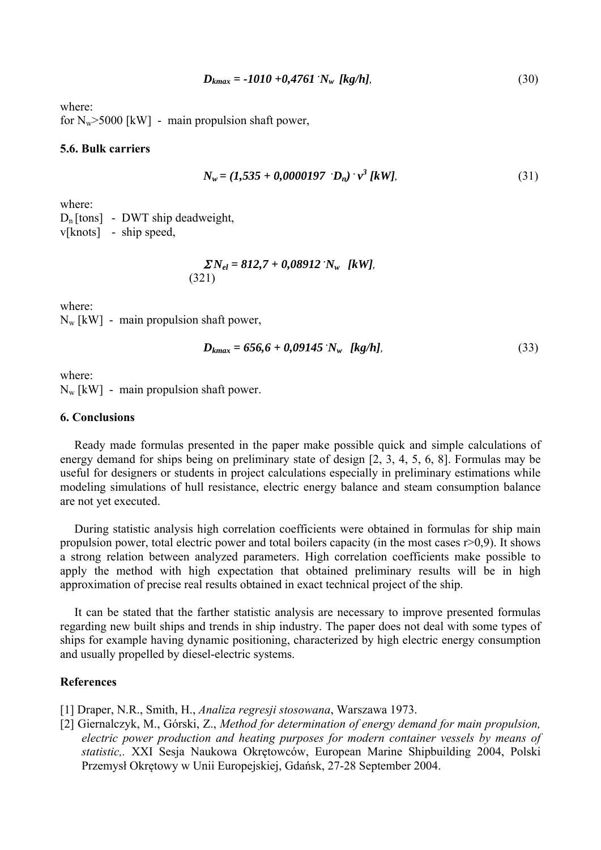$$
D_{kmax} = -1010 + 0,4761 \text{ N}_w \text{ [kg/h]},\tag{30}
$$

where: for  $N_w$ >5000 [kW] - main propulsion shaft power,

### **5.6. Bulk carriers**

$$
N_w = (1,535 + 0,0000197)^{\circ} D_n)^{\circ} v^3 [kW], \tag{31}
$$

where:

 $D_n$ [tons] - DWT ship deadweight, v[knots] - ship speed,

$$
\Sigma N_{el} = 812,7 + 0,08912 \cdot N_w \text{ [kW]},
$$
\n(321)

where:

 $N_w$  [kW] - main propulsion shaft power,

$$
D_{kmax} = 656.6 + 0.09145 \text{ N}_w \text{ [kg/h]}, \tag{33}
$$

where:  $N_w$  [kW] - main propulsion shaft power.

### **6. Conclusions**

Ready made formulas presented in the paper make possible quick and simple calculations of energy demand for ships being on preliminary state of design [2, 3, 4, 5, 6, 8]. Formulas may be useful for designers or students in project calculations especially in preliminary estimations while modeling simulations of hull resistance, electric energy balance and steam consumption balance are not yet executed.

During statistic analysis high correlation coefficients were obtained in formulas for ship main propulsion power, total electric power and total boilers capacity (in the most cases  $r > 0.9$ ). It shows a strong relation between analyzed parameters. High correlation coefficients make possible to apply the method with high expectation that obtained preliminary results will be in high approximation of precise real results obtained in exact technical project of the ship.

It can be stated that the farther statistic analysis are necessary to improve presented formulas regarding new built ships and trends in ship industry. The paper does not deal with some types of ships for example having dynamic positioning, characterized by high electric energy consumption and usually propelled by diesel-electric systems.

### **References**

[1] Draper, N.R., Smith, H., *Analiza regresji stosowana*, Warszawa 1973.

[2] Giernalczyk, M., Górski, Z., *Method for determination of energy demand for main propulsion, electric power production and heating purposes for modern container vessels by means of statistic,.* XXI Sesja Naukowa Okrętowców, European Marine Shipbuilding 2004, Polski Przemysł Okrętowy w Unii Europejskiej, Gdańsk, 27-28 September 2004.